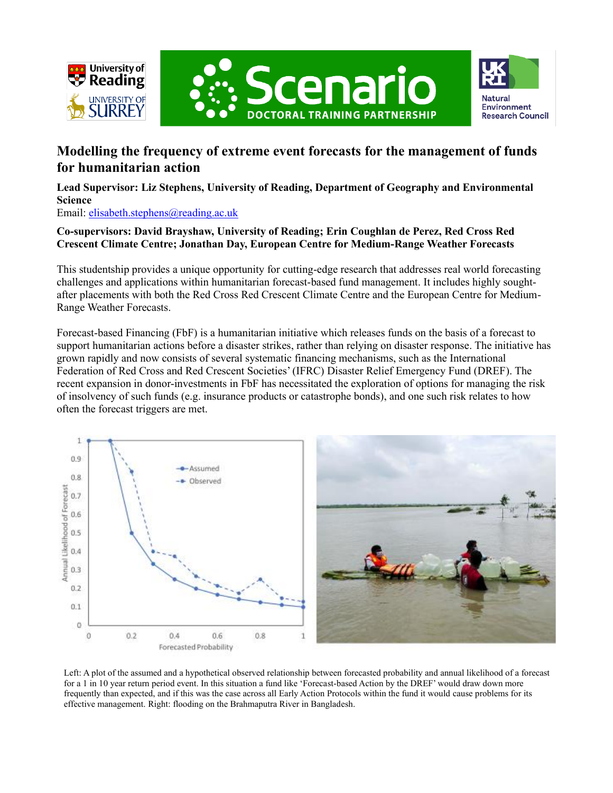





# **Modelling the frequency of extreme event forecasts for the management of funds for humanitarian action**

**Lead Supervisor: Liz Stephens, University of Reading, Department of Geography and Environmental Science**

Email: [elisabeth.stephens@reading.ac.uk](mailto:elisabeth.stephens@reading.ac.uk)

### **Co-supervisors: David Brayshaw, University of Reading; Erin Coughlan de Perez, Red Cross Red Crescent Climate Centre; Jonathan Day, European Centre for Medium-Range Weather Forecasts**

This studentship provides a unique opportunity for cutting-edge research that addresses real world forecasting challenges and applications within humanitarian forecast-based fund management. It includes highly soughtafter placements with both the Red Cross Red Crescent Climate Centre and the European Centre for Medium-Range Weather Forecasts.

Forecast-based Financing (FbF) is a humanitarian initiative which releases funds on the basis of a forecast to support humanitarian actions before a disaster strikes, rather than relying on disaster response. The initiative has grown rapidly and now consists of several systematic financing mechanisms, such as the International Federation of Red Cross and Red Crescent Societies' (IFRC) Disaster Relief Emergency Fund (DREF). The recent expansion in donor-investments in FbF has necessitated the exploration of options for managing the risk of insolvency of such funds (e.g. insurance products or catastrophe bonds), and one such risk relates to how often the forecast triggers are met.



Left: A plot of the assumed and a hypothetical observed relationship between forecasted probability and annual likelihood of a forecast for a 1 in 10 year return period event. In this situation a fund like 'Forecast-based Action by the DREF' would draw down more frequently than expected, and if this was the case across all Early Action Protocols within the fund it would cause problems for its effective management. Right: flooding on the Brahmaputra River in Bangladesh.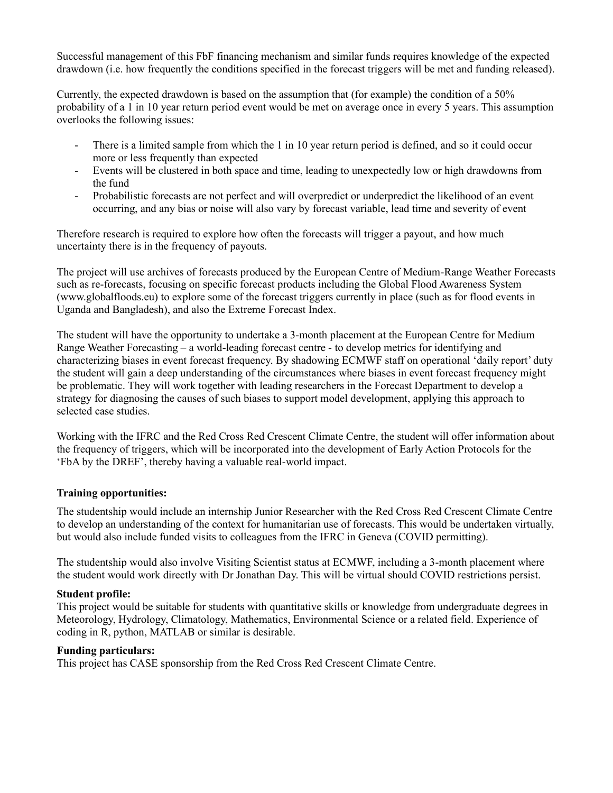Successful management of this FbF financing mechanism and similar funds requires knowledge of the expected drawdown (i.e. how frequently the conditions specified in the forecast triggers will be met and funding released).

Currently, the expected drawdown is based on the assumption that (for example) the condition of a 50% probability of a 1 in 10 year return period event would be met on average once in every 5 years. This assumption overlooks the following issues:

- There is a limited sample from which the 1 in 10 year return period is defined, and so it could occur more or less frequently than expected
- Events will be clustered in both space and time, leading to unexpectedly low or high drawdowns from the fund
- Probabilistic forecasts are not perfect and will overpredict or underpredict the likelihood of an event occurring, and any bias or noise will also vary by forecast variable, lead time and severity of event

Therefore research is required to explore how often the forecasts will trigger a payout, and how much uncertainty there is in the frequency of payouts.

The project will use archives of forecasts produced by the European Centre of Medium-Range Weather Forecasts such as re-forecasts, focusing on specific forecast products including the Global Flood Awareness System (www.globalfloods.eu) to explore some of the forecast triggers currently in place (such as for flood events in Uganda and Bangladesh), and also the Extreme Forecast Index.

The student will have the opportunity to undertake a 3-month placement at the European Centre for Medium Range Weather Forecasting – a world-leading forecast centre - to develop metrics for identifying and characterizing biases in event forecast frequency. By shadowing ECMWF staff on operational 'daily report' duty the student will gain a deep understanding of the circumstances where biases in event forecast frequency might be problematic. They will work together with leading researchers in the Forecast Department to develop a strategy for diagnosing the causes of such biases to support model development, applying this approach to selected case studies.

Working with the IFRC and the Red Cross Red Crescent Climate Centre, the student will offer information about the frequency of triggers, which will be incorporated into the development of Early Action Protocols for the 'FbA by the DREF', thereby having a valuable real-world impact.

#### **Training opportunities:**

The studentship would include an internship Junior Researcher with the Red Cross Red Crescent Climate Centre to develop an understanding of the context for humanitarian use of forecasts. This would be undertaken virtually, but would also include funded visits to colleagues from the IFRC in Geneva (COVID permitting).

The studentship would also involve Visiting Scientist status at ECMWF, including a 3-month placement where the student would work directly with Dr Jonathan Day. This will be virtual should COVID restrictions persist.

#### **Student profile:**

This project would be suitable for students with quantitative skills or knowledge from undergraduate degrees in Meteorology, Hydrology, Climatology, Mathematics, Environmental Science or a related field. Experience of coding in R, python, MATLAB or similar is desirable.

#### **Funding particulars:**

This project has CASE sponsorship from the Red Cross Red Crescent Climate Centre.